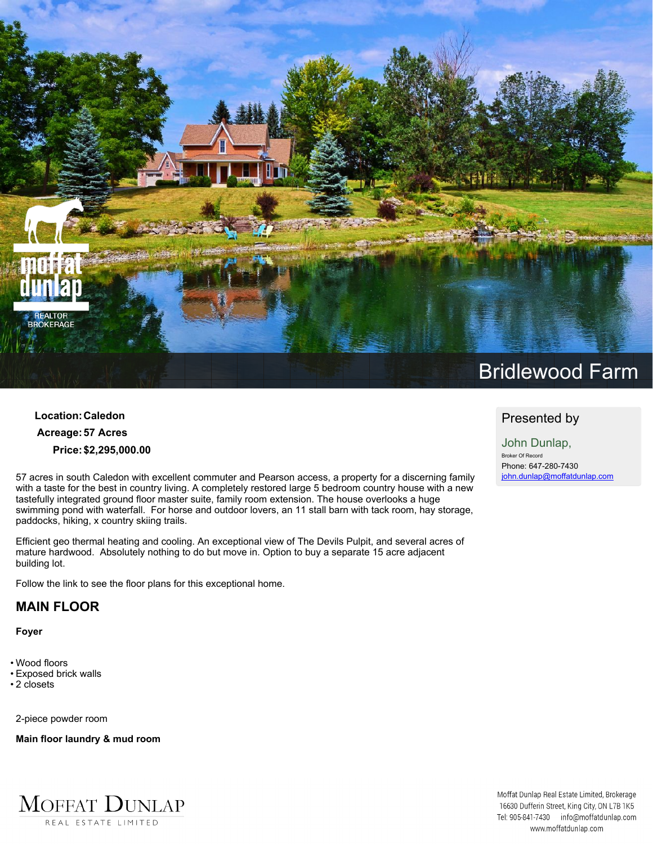

## **Location:Caledon Acreage:57 Acres Price:\$2,295,000.00**

**57 acres in south Caledon with excellent commuter and Pearson access, a property for a discerning family** with a taste for the best in country living. A completely restored large 5 bedroom country house with a new **tastefully integrated ground floor master suite, family room extension. The house overlooks a huge swimming pond with waterfall. For horse and outdoor lovers, an 11 stall barn with tack room, hay storage, paddocks, hiking, x country skiing trails.**

**Efficient geo thermal heating and cooling. An exceptional view of The Devils Pulpit, and several acres of mature hardwood. Absolutely nothing to do but move in. Option to buy a separate 15 acre adjacent building lot.**

**Follow the link to see the floor plans for this exceptional home.**

## **MAIN FLOOR**

**Foyer**

- **• Wood floors**
- **• Exposed brick walls**
- **• 2 closets**

**2-piece powder room**

**Main floor laundry & mud room**



## **Bridlewood Farm**

## **Presented by**

**John Dunlap, Broker Of Record Phone: 647-280-7430 john.dunlap@moffatdunlap.com**

Moffat Dunlap Real Estate Limited, Brokerage 16630 Dufferin Street, King City, ON L7B 1K5 Tel: 905-841-7430 info@moffatdunlap.com www.moffatdunlap.com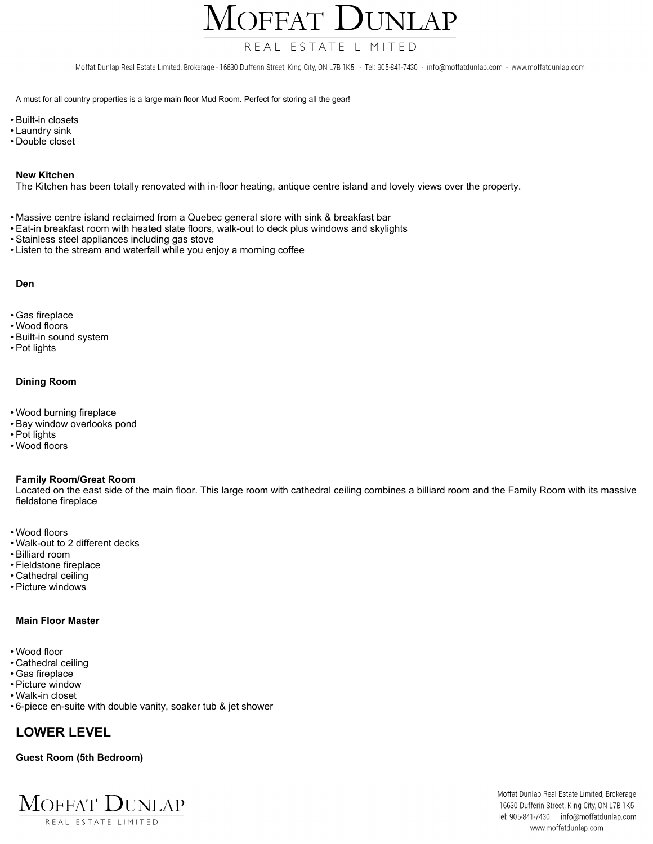OFFAT  $\prod$ I $NIAP$ 

## REAL ESTATE LIMITED

Moffat Dunlap Real Estate Limited, Brokerage - 16630 Dufferin Street, King City, ON L7B 1K5. - Tel: 905-841-7430 - info@moffatdunlap.com - www.moffatdunlap.com

A must for all country properties is a large main floor Mud Room. Perfect for storing all the gear!

- **• Built-in closets**
- **• Laundry sink**
- **• Double closet**

#### **New Kitchen**

The Kitchen has been totally renovated with in-floor heating, antique centre island and lovely views over the property.

- **• Massive centre island reclaimed from a Quebec general store with sink & breakfast bar**
- **• Eat-in breakfast room with heated slate floors, walk-out to deck plus windows and skylights**
- **• Stainless steel appliances including gas stove**
- **• Listen to the stream and waterfall while you enjoy a morning coffee**

#### **Den**

- **• Gas fireplace**
- **• Wood floors**
- **• Built-in sound system**
- **• Pot lights**

#### **Dining Room**

- **• Wood burning fireplace**
- **• Bay window overlooks pond**
- **• Pot lights**
- **• Wood floors**

#### **Family Room/Great Room**

Located on the east side of the main floor. This large room with cathedral ceiling combines a billiard room and the Family Room with its massive **fieldstone fireplace**

- **• Wood floors**
- **• Walk-out to 2 different decks**
- **• Billiard room**
- **• Fieldstone fireplace**
- **• Cathedral ceiling**
- **• Picture windows**

#### **Main Floor Master**

- **• Wood floor**
- **• Cathedral ceiling**
- **• Gas fireplace**
- **• Picture window**
- **• Walk-in closet**
- **• 6-piece en-suite with double vanity, soaker tub & jet shower**

## **LOWER LEVEL**

#### **Guest Room (5th Bedroom)**

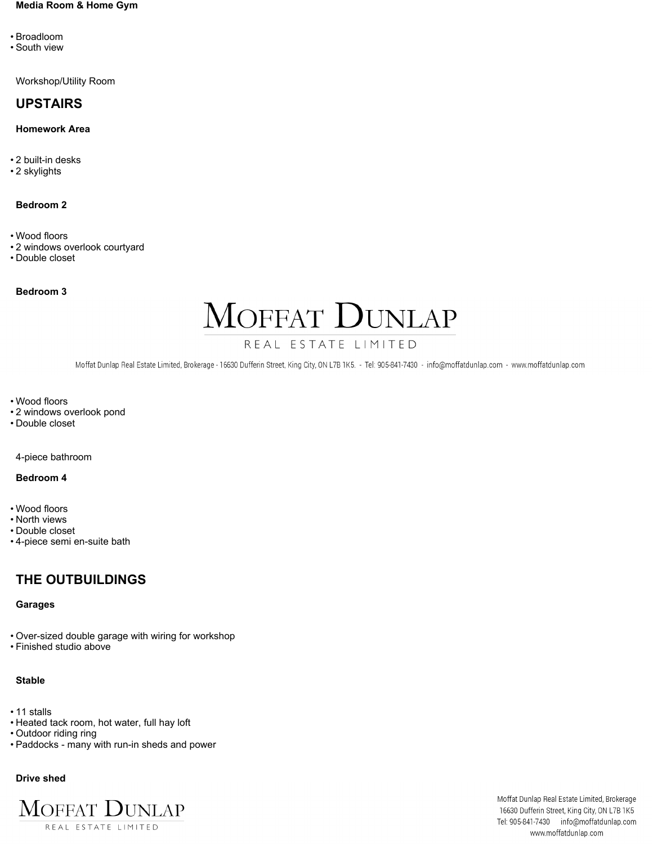#### **Media Room & Home Gym**

- **• Broadloom**
- **• South view**

**Workshop/Utility Room**

## **UPSTAIRS**

#### **Homework Area**

- **• 2 built-in desks**
- **• 2 skylights**

#### **Bedroom 2**

- **• Wood floors**
- **• 2 windows overlook courtyard**
- **• Double closet**

**Bedroom 3**

# MOFFAT DUNLAP

## REAL ESTATE LIMITED

Moffat Dunlap Real Estate Limited, Brokerage - 16630 Dufferin Street, King City, ON L7B 1K5. - Tel: 905-841-7430 - info@moffatdunlap.com - www.moffatdunlap.com

**• Wood floors**

- **• 2 windows overlook pond**
- **• Double closet**

**4-piece bathroom**

#### **Bedroom 4**

- **• Wood floors**
- **• North views**
- **• Double closet**
- **• 4-piece semi en-suite bath**

## **THE OUTBUILDINGS**

#### **Garages**

- **• Over-sized double garage with wiring for workshop**
- **• Finished studio above**

#### **Stable**

- **• 11 stalls**
- **• Heated tack room, hot water, full hay loft**
- **• Outdoor riding ring**
- **• Paddocks - many with run-in sheds and power**

#### **Drive shed**